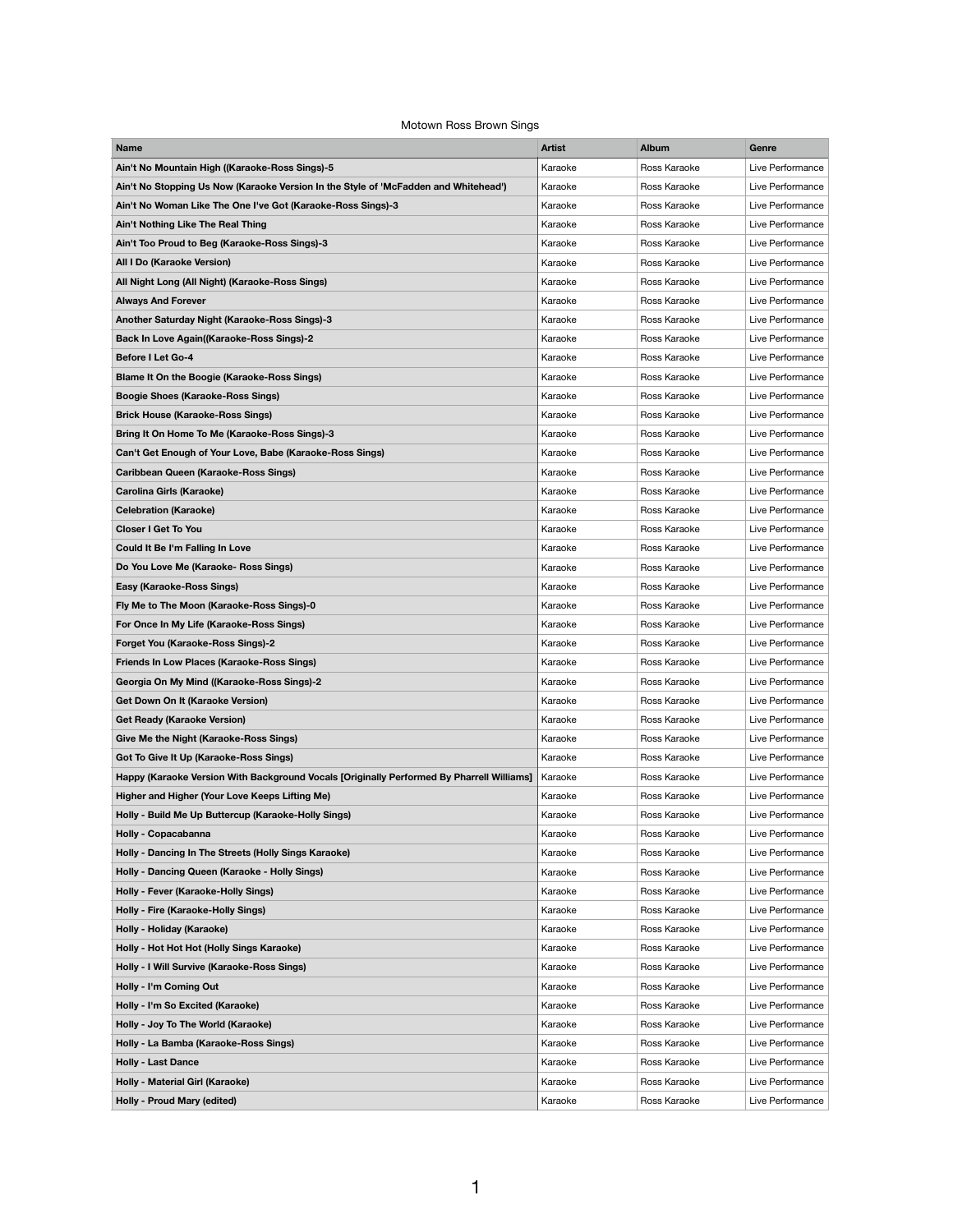## Motown Ross Brown Sings

| Name                                                                                      | <b>Artist</b> | Album        | Genre            |
|-------------------------------------------------------------------------------------------|---------------|--------------|------------------|
| Ain't No Mountain High ((Karaoke-Ross Sings)-5                                            | Karaoke       | Ross Karaoke | Live Performance |
| Ain't No Stopping Us Now (Karaoke Version In the Style of 'McFadden and Whitehead')       | Karaoke       | Ross Karaoke | Live Performance |
| Ain't No Woman Like The One I've Got (Karaoke-Ross Sings)-3                               | Karaoke       | Ross Karaoke | Live Performance |
| Ain't Nothing Like The Real Thing                                                         | Karaoke       | Ross Karaoke | Live Performance |
| Ain't Too Proud to Beg (Karaoke-Ross Sings)-3                                             | Karaoke       | Ross Karaoke | Live Performance |
| All I Do (Karaoke Version)                                                                | Karaoke       | Ross Karaoke | Live Performance |
| All Night Long (All Night) (Karaoke-Ross Sings)                                           | Karaoke       | Ross Karaoke | Live Performance |
| Always And Forever                                                                        | Karaoke       | Ross Karaoke | Live Performance |
| Another Saturday Night (Karaoke-Ross Sings)-3                                             | Karaoke       | Ross Karaoke | Live Performance |
| Back In Love Again((Karaoke-Ross Sings)-2                                                 | Karaoke       | Ross Karaoke | Live Performance |
| Before I Let Go-4                                                                         | Karaoke       | Ross Karaoke | Live Performance |
| Blame It On the Boogie (Karaoke-Ross Sings)                                               | Karaoke       | Ross Karaoke | Live Performance |
| Boogie Shoes (Karaoke-Ross Sings)                                                         | Karaoke       | Ross Karaoke | Live Performance |
| Brick House (Karaoke-Ross Sings)                                                          | Karaoke       | Ross Karaoke | Live Performance |
| Bring It On Home To Me (Karaoke-Ross Sings)-3                                             | Karaoke       | Ross Karaoke | Live Performance |
| Can't Get Enough of Your Love, Babe (Karaoke-Ross Sings)                                  | Karaoke       | Ross Karaoke | Live Performance |
| Caribbean Queen (Karaoke-Ross Sings)                                                      | Karaoke       | Ross Karaoke | Live Performance |
| Carolina Girls (Karaoke)                                                                  | Karaoke       | Ross Karaoke | Live Performance |
| Celebration (Karaoke)                                                                     | Karaoke       | Ross Karaoke | Live Performance |
| Closer I Get To You                                                                       | Karaoke       | Ross Karaoke | Live Performance |
| Could It Be I'm Falling In Love                                                           | Karaoke       | Ross Karaoke | Live Performance |
| Do You Love Me (Karaoke- Ross Sings)                                                      | Karaoke       | Ross Karaoke | Live Performance |
| Easy (Karaoke-Ross Sings)                                                                 | Karaoke       | Ross Karaoke | Live Performance |
| Fly Me to The Moon (Karaoke-Ross Sings)-0                                                 | Karaoke       | Ross Karaoke | Live Performance |
| For Once In My Life (Karaoke-Ross Sings)                                                  | Karaoke       | Ross Karaoke | Live Performance |
| Forget You (Karaoke-Ross Sings)-2                                                         | Karaoke       | Ross Karaoke | Live Performance |
| Friends In Low Places (Karaoke-Ross Sings)                                                | Karaoke       | Ross Karaoke | Live Performance |
| Georgia On My Mind ((Karaoke-Ross Sings)-2                                                | Karaoke       | Ross Karaoke | Live Performance |
| Get Down On It (Karaoke Version)                                                          | Karaoke       | Ross Karaoke | Live Performance |
| Get Ready (Karaoke Version)                                                               | Karaoke       | Ross Karaoke | Live Performance |
| Give Me the Night (Karaoke-Ross Sings)                                                    | Karaoke       | Ross Karaoke | Live Performance |
| Got To Give It Up (Karaoke-Ross Sings)                                                    | Karaoke       | Ross Karaoke | Live Performance |
| Happy (Karaoke Version With Background Vocals [Originally Performed By Pharrell Williams] | Karaoke       | Ross Karaoke | Live Performance |
| Higher and Higher (Your Love Keeps Lifting Me)                                            | Karaoke       | Ross Karaoke | Live Performance |
| Holly - Build Me Up Buttercup (Karaoke-Holly Sings)                                       | Karaoke       | Ross Karaoke | Live Performance |
| Holly - Copacabanna                                                                       | Karaoke       | Ross Karaoke | Live Performance |
| Holly - Dancing In The Streets (Holly Sings Karaoke)                                      | Karaoke       | Ross Karaoke | Live Performance |
| Holly - Dancing Queen (Karaoke - Holly Sings)                                             | Karaoke       | Ross Karaoke | Live Performance |
| Holly - Fever (Karaoke-Holly Sings)                                                       | Karaoke       | Ross Karaoke | Live Performance |
| Holly - Fire (Karaoke-Holly Sings)                                                        | Karaoke       | Ross Karaoke | Live Performance |
| Holly - Holiday (Karaoke)                                                                 | Karaoke       | Ross Karaoke | Live Performance |
| Holly - Hot Hot Hot (Holly Sings Karaoke)                                                 | Karaoke       | Ross Karaoke | Live Performance |
| Holly - I Will Survive (Karaoke-Ross Sings)                                               | Karaoke       | Ross Karaoke | Live Performance |
| Holly - I'm Coming Out                                                                    | Karaoke       | Ross Karaoke | Live Performance |
| Holly - I'm So Excited (Karaoke)                                                          | Karaoke       | Ross Karaoke | Live Performance |
| Holly - Joy To The World (Karaoke)                                                        | Karaoke       | Ross Karaoke | Live Performance |
| Holly - La Bamba (Karaoke-Ross Sings)                                                     | Karaoke       | Ross Karaoke | Live Performance |
| Holly - Last Dance                                                                        | Karaoke       | Ross Karaoke | Live Performance |
| Holly - Material Girl (Karaoke)                                                           | Karaoke       | Ross Karaoke | Live Performance |
| Holly - Proud Mary (edited)                                                               | Karaoke       | Ross Karaoke | Live Performance |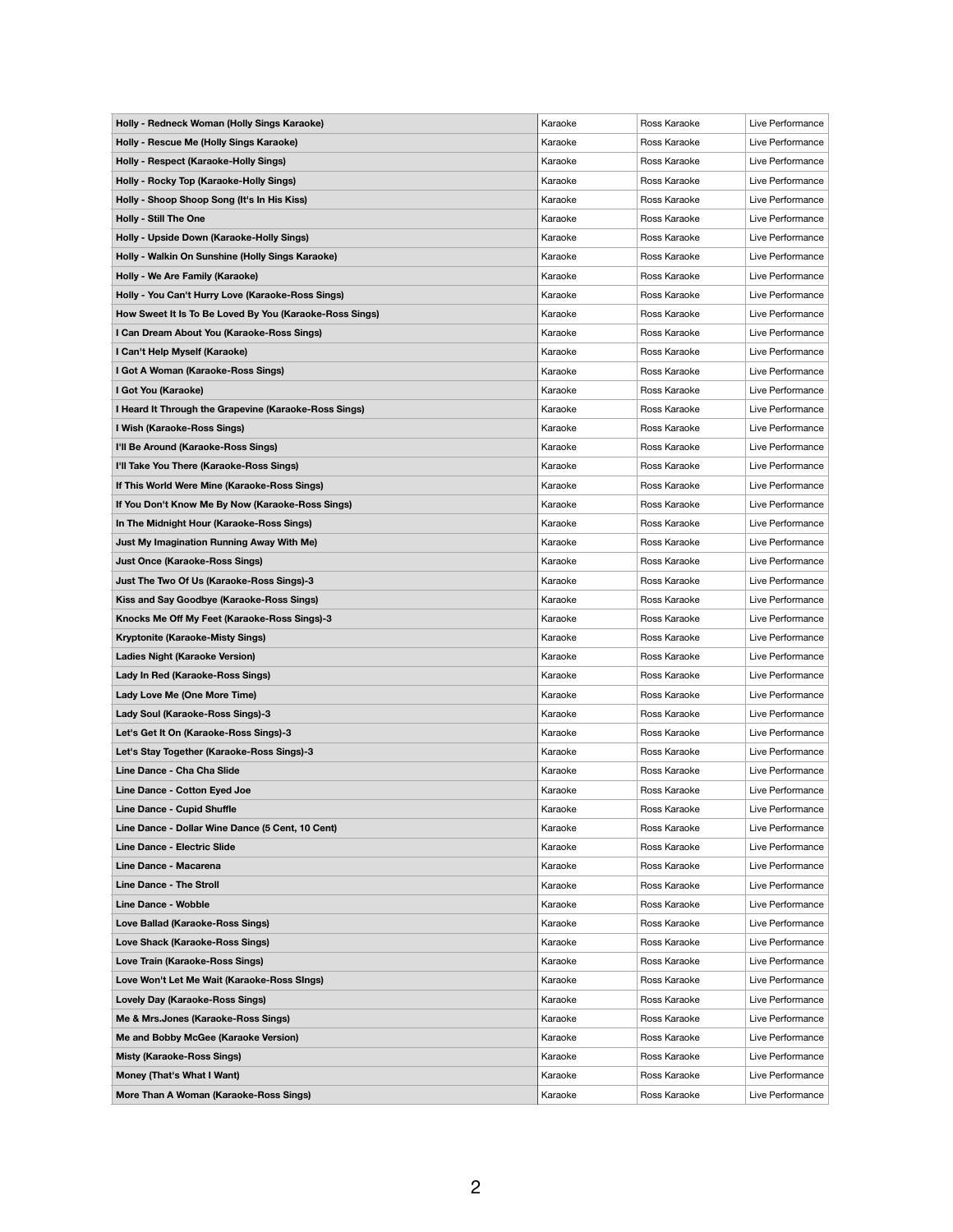| Holly - Redneck Woman (Holly Sings Karaoke)             | Karaoke | Ross Karaoke | Live Performance |
|---------------------------------------------------------|---------|--------------|------------------|
| Holly - Rescue Me (Holly Sings Karaoke)                 | Karaoke | Ross Karaoke | Live Performance |
| Holly - Respect (Karaoke-Holly Sings)                   | Karaoke | Ross Karaoke | Live Performance |
| Holly - Rocky Top (Karaoke-Holly Sings)                 | Karaoke | Ross Karaoke | Live Performance |
| Holly - Shoop Shoop Song (It's In His Kiss)             | Karaoke | Ross Karaoke | Live Performance |
| Holly - Still The One                                   | Karaoke | Ross Karaoke | Live Performance |
| Holly - Upside Down (Karaoke-Holly Sings)               | Karaoke | Ross Karaoke | Live Performance |
| Holly - Walkin On Sunshine (Holly Sings Karaoke)        | Karaoke | Ross Karaoke | Live Performance |
| Holly - We Are Family (Karaoke)                         | Karaoke | Ross Karaoke | Live Performance |
| Holly - You Can't Hurry Love (Karaoke-Ross Sings)       | Karaoke | Ross Karaoke | Live Performance |
| How Sweet It Is To Be Loved By You (Karaoke-Ross Sings) | Karaoke | Ross Karaoke | Live Performance |
| I Can Dream About You (Karaoke-Ross Sings)              | Karaoke | Ross Karaoke | Live Performance |
| I Can't Help Myself (Karaoke)                           | Karaoke | Ross Karaoke | Live Performance |
| I Got A Woman (Karaoke-Ross Sings)                      | Karaoke | Ross Karaoke | Live Performance |
| I Got You (Karaoke)                                     | Karaoke | Ross Karaoke | Live Performance |
| I Heard It Through the Grapevine (Karaoke-Ross Sings)   | Karaoke | Ross Karaoke | Live Performance |
| I Wish (Karaoke-Ross Sings)                             | Karaoke | Ross Karaoke | Live Performance |
| I'll Be Around (Karaoke-Ross Sings)                     | Karaoke | Ross Karaoke | Live Performance |
| I'll Take You There (Karaoke-Ross Sings)                | Karaoke | Ross Karaoke | Live Performance |
| If This World Were Mine (Karaoke-Ross Sings)            | Karaoke | Ross Karaoke | Live Performance |
| If You Don't Know Me By Now (Karaoke-Ross Sings)        | Karaoke | Ross Karaoke | Live Performance |
| In The Midnight Hour (Karaoke-Ross Sings)               | Karaoke | Ross Karaoke | Live Performance |
| Just My Imagination Running Away With Me)               | Karaoke | Ross Karaoke | Live Performance |
| Just Once (Karaoke-Ross Sings)                          | Karaoke | Ross Karaoke | Live Performance |
| Just The Two Of Us (Karaoke-Ross Sings)-3               | Karaoke | Ross Karaoke | Live Performance |
| Kiss and Say Goodbye (Karaoke-Ross Sings)               | Karaoke | Ross Karaoke | Live Performance |
| Knocks Me Off My Feet (Karaoke-Ross Sings)-3            | Karaoke | Ross Karaoke | Live Performance |
| Kryptonite (Karaoke-Misty Sings)                        | Karaoke | Ross Karaoke | Live Performance |
| Ladies Night (Karaoke Version)                          | Karaoke | Ross Karaoke | Live Performance |
| Lady In Red (Karaoke-Ross Sings)                        | Karaoke | Ross Karaoke | Live Performance |
| Lady Love Me (One More Time)                            | Karaoke | Ross Karaoke | Live Performance |
| Lady Soul (Karaoke-Ross Sings)-3                        | Karaoke | Ross Karaoke | Live Performance |
| Let's Get It On (Karaoke-Ross Sings)-3                  | Karaoke | Ross Karaoke | Live Performance |
| Let's Stay Together (Karaoke-Ross Sings)-3              | Karaoke | Ross Karaoke | Live Performance |
| Line Dance - Cha Cha Slide                              | Karaoke | Ross Karaoke | Live Performance |
| Line Dance - Cotton Eyed Joe                            | Karaoke | Ross Karaoke | Live Performance |
| Line Dance - Cupid Shuffle                              | Karaoke | Ross Karaoke | Live Performance |
| Line Dance - Dollar Wine Dance (5 Cent, 10 Cent)        | Karaoke | Ross Karaoke | Live Performance |
| Line Dance - Electric Slide                             | Karaoke | Ross Karaoke | Live Performance |
| Line Dance - Macarena                                   | Karaoke | Ross Karaoke | Live Performance |
| Line Dance - The Stroll                                 | Karaoke | Ross Karaoke | Live Performance |
| Line Dance - Wobble                                     | Karaoke | Ross Karaoke | Live Performance |
| Love Ballad (Karaoke-Ross Sings)                        | Karaoke | Ross Karaoke | Live Performance |
|                                                         | Karaoke | Ross Karaoke | Live Performance |
| Love Shack (Karaoke-Ross Sings)                         | Karaoke | Ross Karaoke |                  |
| Love Train (Karaoke-Ross Sings)                         |         |              | Live Performance |
| Love Won't Let Me Wait (Karaoke-Ross SIngs)             | Karaoke | Ross Karaoke | Live Performance |
| Lovely Day (Karaoke-Ross Sings)                         | Karaoke | Ross Karaoke | Live Performance |
| Me & Mrs.Jones (Karaoke-Ross Sings)                     | Karaoke | Ross Karaoke | Live Performance |
| Me and Bobby McGee (Karaoke Version)                    | Karaoke | Ross Karaoke | Live Performance |
| Misty (Karaoke-Ross Sings)                              | Karaoke | Ross Karaoke | Live Performance |
| Money (That's What I Want)                              | Karaoke | Ross Karaoke | Live Performance |
| More Than A Woman (Karaoke-Ross Sings)                  | Karaoke | Ross Karaoke | Live Performance |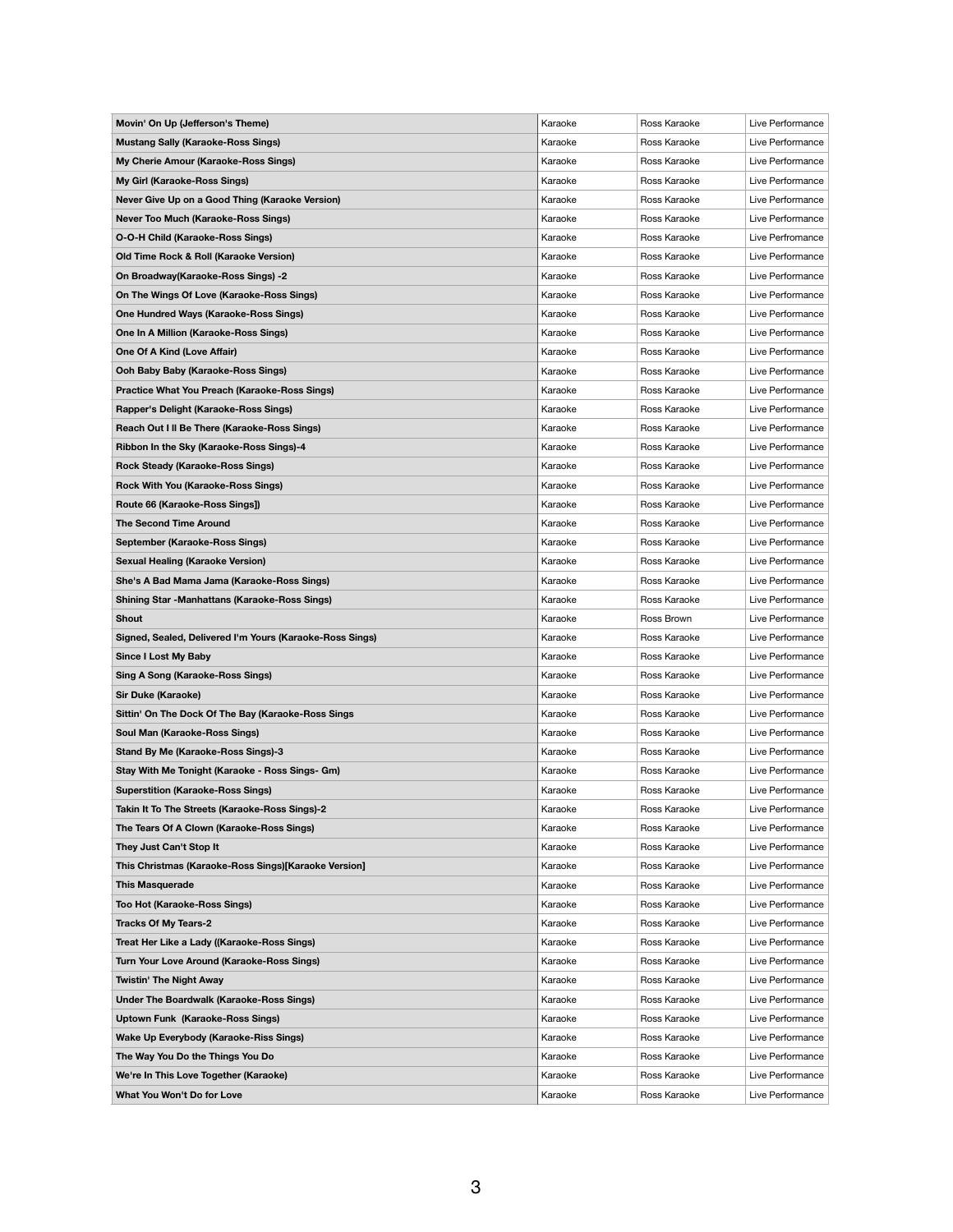| Movin' On Up (Jefferson's Theme)                         | Karaoke | Ross Karaoke                 | Live Performance |
|----------------------------------------------------------|---------|------------------------------|------------------|
| <b>Mustang Sally (Karaoke-Ross Sings)</b>                | Karaoke | Ross Karaoke                 | Live Performance |
| My Cherie Amour (Karaoke-Ross Sings)                     | Karaoke | Ross Karaoke                 | Live Performance |
| My Girl (Karaoke-Ross Sings)                             | Karaoke | Ross Karaoke                 | Live Performance |
| Never Give Up on a Good Thing (Karaoke Version)          | Karaoke | Ross Karaoke                 | Live Performance |
| Never Too Much (Karaoke-Ross Sings)                      | Karaoke | Ross Karaoke                 | Live Performance |
| O-O-H Child (Karaoke-Ross Sings)                         | Karaoke | Ross Karaoke                 | Live Perfromance |
| Old Time Rock & Roll (Karaoke Version)                   | Karaoke | Ross Karaoke                 | Live Performance |
| On Broadway(Karaoke-Ross Sings) -2                       | Karaoke | Ross Karaoke                 | Live Performance |
| On The Wings Of Love (Karaoke-Ross Sings)                | Karaoke | Ross Karaoke                 | Live Performance |
| One Hundred Ways (Karaoke-Ross Sings)                    | Karaoke | Ross Karaoke                 | Live Performance |
| One In A Million (Karaoke-Ross Sings)                    | Karaoke | Ross Karaoke                 | Live Performance |
| One Of A Kind (Love Affair)                              | Karaoke | Ross Karaoke                 | Live Performance |
| Ooh Baby Baby (Karaoke-Ross Sings)                       | Karaoke | Ross Karaoke                 | Live Performance |
| Practice What You Preach (Karaoke-Ross Sings)            | Karaoke | Ross Karaoke                 | Live Performance |
| Rapper's Delight (Karaoke-Ross Sings)                    | Karaoke | Ross Karaoke                 | Live Performance |
| Reach Out I II Be There (Karaoke-Ross Sings)             | Karaoke | Ross Karaoke                 | Live Performance |
| Ribbon In the Sky (Karaoke-Ross Sings)-4                 | Karaoke | Ross Karaoke                 | Live Performance |
| Rock Steady (Karaoke-Ross Sings)                         | Karaoke | Ross Karaoke                 | Live Performance |
| Rock With You (Karaoke-Ross Sings)                       | Karaoke | Ross Karaoke                 | Live Performance |
| Route 66 (Karaoke-Ross Sings])                           | Karaoke | Ross Karaoke                 | Live Performance |
| <b>The Second Time Around</b>                            | Karaoke | Ross Karaoke                 | Live Performance |
| September (Karaoke-Ross Sings)                           | Karaoke | Ross Karaoke                 | Live Performance |
| <b>Sexual Healing (Karaoke Version)</b>                  | Karaoke | Ross Karaoke                 | Live Performance |
| She's A Bad Mama Jama (Karaoke-Ross Sings)               | Karaoke | Ross Karaoke                 | Live Performance |
| Shining Star -Manhattans (Karaoke-Ross Sings)            | Karaoke | Ross Karaoke                 | Live Performance |
| Shout                                                    | Karaoke | Ross Brown                   | Live Performance |
| Signed, Sealed, Delivered I'm Yours (Karaoke-Ross Sings) | Karaoke | Ross Karaoke                 | Live Performance |
| <b>Since I Lost My Baby</b>                              | Karaoke | Ross Karaoke                 | Live Performance |
| <b>Sing A Song (Karaoke-Ross Sings)</b>                  | Karaoke | Ross Karaoke                 | Live Performance |
|                                                          | Karaoke | Ross Karaoke                 | Live Performance |
| Sir Duke (Karaoke)                                       |         |                              |                  |
| Sittin' On The Dock Of The Bay (Karaoke-Ross Sings       | Karaoke | Ross Karaoke<br>Ross Karaoke | Live Performance |
| Soul Man (Karaoke-Ross Sings)                            | Karaoke |                              | Live Performance |
| Stand By Me (Karaoke-Ross Sings)-3                       | Karaoke | Ross Karaoke                 | Live Performance |
| Stay With Me Tonight (Karaoke - Ross Sings- Gm)          | Karaoke | Ross Karaoke                 | Live Performance |
| <b>Superstition (Karaoke-Ross Sings)</b>                 | Karaoke | Ross Karaoke                 | Live Performance |
| Takin It To The Streets (Karaoke-Ross Sings)-2           | Karaoke | Ross Karaoke                 | Live Performance |
| The Tears Of A Clown (Karaoke-Ross Sings)                | Karaoke | Ross Karaoke                 | Live Performance |
| They Just Can't Stop It                                  | Karaoke | Ross Karaoke                 | Live Performance |
| This Christmas (Karaoke-Ross Sings)[Karaoke Version]     | Karaoke | Ross Karaoke                 | Live Performance |
| This Masquerade                                          | Karaoke | Ross Karaoke                 | Live Performance |
| Too Hot (Karaoke-Ross Sings)                             | Karaoke | Ross Karaoke                 | Live Performance |
| <b>Tracks Of My Tears-2</b>                              | Karaoke | Ross Karaoke                 | Live Performance |
| Treat Her Like a Lady ((Karaoke-Ross Sings)              | Karaoke | Ross Karaoke                 | Live Performance |
| Turn Your Love Around (Karaoke-Ross Sings)               | Karaoke | Ross Karaoke                 | Live Performance |
| Twistin' The Night Away                                  | Karaoke | Ross Karaoke                 | Live Performance |
| Under The Boardwalk (Karaoke-Ross Sings)                 | Karaoke | Ross Karaoke                 | Live Performance |
| Uptown Funk (Karaoke-Ross Sings)                         | Karaoke | Ross Karaoke                 | Live Performance |
| Wake Up Everybody (Karaoke-Riss Sings)                   | Karaoke | Ross Karaoke                 | Live Performance |
| The Way You Do the Things You Do                         | Karaoke | Ross Karaoke                 | Live Performance |
| We're In This Love Together (Karaoke)                    | Karaoke | Ross Karaoke                 | Live Performance |
| What You Won't Do for Love                               | Karaoke | Ross Karaoke                 | Live Performance |